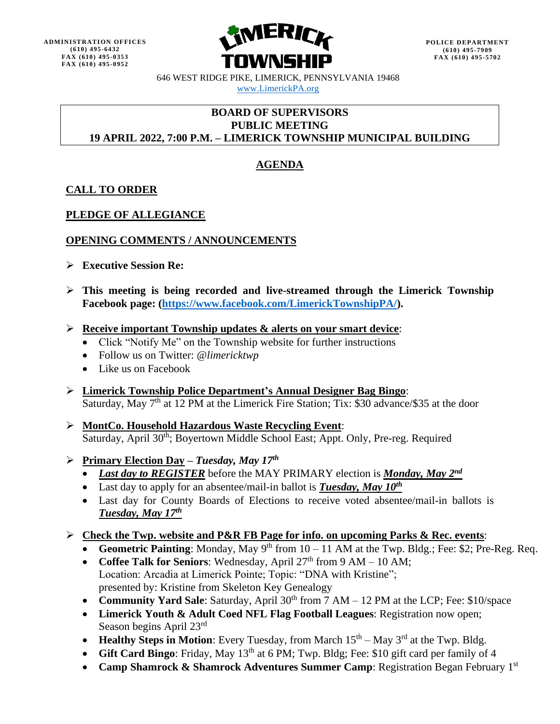

646 WEST RIDGE PIKE, LIMERICK, PENNSYLVANIA 19468 [www.LimerickPA.org](http://www.limerickpa.org/)

### **BOARD OF SUPERVISORS PUBLIC MEETING 19 APRIL 2022, 7:00 P.M. – LIMERICK TOWNSHIP MUNICIPAL BUILDING**

# **AGENDA**

## **CALL TO ORDER**

## **PLEDGE OF ALLEGIANCE**

## **OPENING COMMENTS / ANNOUNCEMENTS**

- ➢ **Executive Session Re:**
- ➢ **This meeting is being recorded and live-streamed through the Limerick Township Facebook page: [\(https://www.facebook.com/LimerickTownshipPA/\)](https://www.facebook.com/LimerickTownshipPA/).**
- ➢ **Receive important Township updates & alerts on your smart device**:
	- Click "Notify Me" on the Township website for further instructions
	- Follow us on Twitter: @*limericktwp*
	- Like us on Facebook
- ➢ **Limerick Township Police Department's Annual Designer Bag Bingo**: Saturday, May  $7<sup>th</sup>$  at 12 PM at the Limerick Fire Station; Tix: \$30 advance/\$35 at the door
- ➢ **MontCo. Household Hazardous Waste Recycling Event**: Saturday, April 30<sup>th</sup>; Boyertown Middle School East; Appt. Only, Pre-reg. Required

## ➢ **Primary Election Day –** *Tuesday, May 17 th*

- *Last day to REGISTER* before the MAY PRIMARY election is *Monday, May 2<sup>nd</sup>*
- Last day to apply for an absentee/mail-in ballot is **Tuesday, May 10<sup>th</sup>**
- Last day for County Boards of Elections to receive voted absentee/mail-in ballots is *Tuesday, May 17 th*

## ➢ **Check the Twp. website and P&R FB Page for info. on upcoming Parks & Rec. events**:

- Geometric Painting: Monday, May 9<sup>th</sup> from  $10 11$  AM at the Twp. Bldg.; Fee: \$2; Pre-Reg. Req.
- Coffee Talk for Seniors: Wednesday, April 27<sup>th</sup> from 9 AM 10 AM; Location: Arcadia at Limerick Pointe; Topic: "DNA with Kristine"; presented by: Kristine from Skeleton Key Genealogy
- **Community Yard Sale**: Saturday, April 30<sup>th</sup> from 7 AM 12 PM at the LCP; Fee: \$10/space
- **Limerick Youth & Adult Coed NFL Flag Football Leagues**: Registration now open; Season begins April 23rd
- Healthy Steps in Motion: Every Tuesday, from March  $15<sup>th</sup>$  May 3<sup>rd</sup> at the Twp. Bldg.
- **Gift Card Bingo**: Friday, May 13<sup>th</sup> at 6 PM; Twp. Bldg; Fee: \$10 gift card per family of 4
- **Camp Shamrock & Shamrock Adventures Summer Camp**: Registration Began February 1st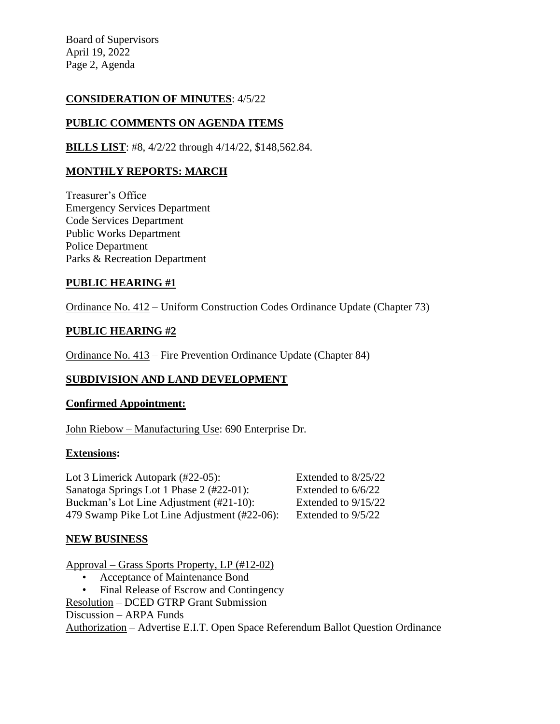Board of Supervisors April 19, 2022 Page 2, Agenda

## **CONSIDERATION OF MINUTES**: 4/5/22

# **PUBLIC COMMENTS ON AGENDA ITEMS**

**BILLS LIST**: #8, 4/2/22 through 4/14/22, \$148,562.84.

## **MONTHLY REPORTS: MARCH**

Treasurer's Office Emergency Services Department Code Services Department Public Works Department Police Department Parks & Recreation Department

## **PUBLIC HEARING #1**

Ordinance No. 412 – Uniform Construction Codes Ordinance Update (Chapter 73)

## **PUBLIC HEARING #2**

Ordinance No. 413 – Fire Prevention Ordinance Update (Chapter 84)

## **SUBDIVISION AND LAND DEVELOPMENT**

## **Confirmed Appointment:**

John Riebow – Manufacturing Use: 690 Enterprise Dr.

## **Extensions:**

Lot 3 Limerick Autopark (#22-05): Extended to 8/25/22 Sanatoga Springs Lot 1 Phase 2 (#22-01): Extended to 6/6/22 Buckman's Lot Line Adjustment (#21-10): Extended to 9/15/22 479 Swamp Pike Lot Line Adjustment (#22-06): Extended to 9/5/22

## **NEW BUSINESS**

Approval – Grass Sports Property, LP (#12-02)

- Acceptance of Maintenance Bond
- Final Release of Escrow and Contingency
- Resolution DCED GTRP Grant Submission

Discussion – ARPA Funds

Authorization – Advertise E.I.T. Open Space Referendum Ballot Question Ordinance